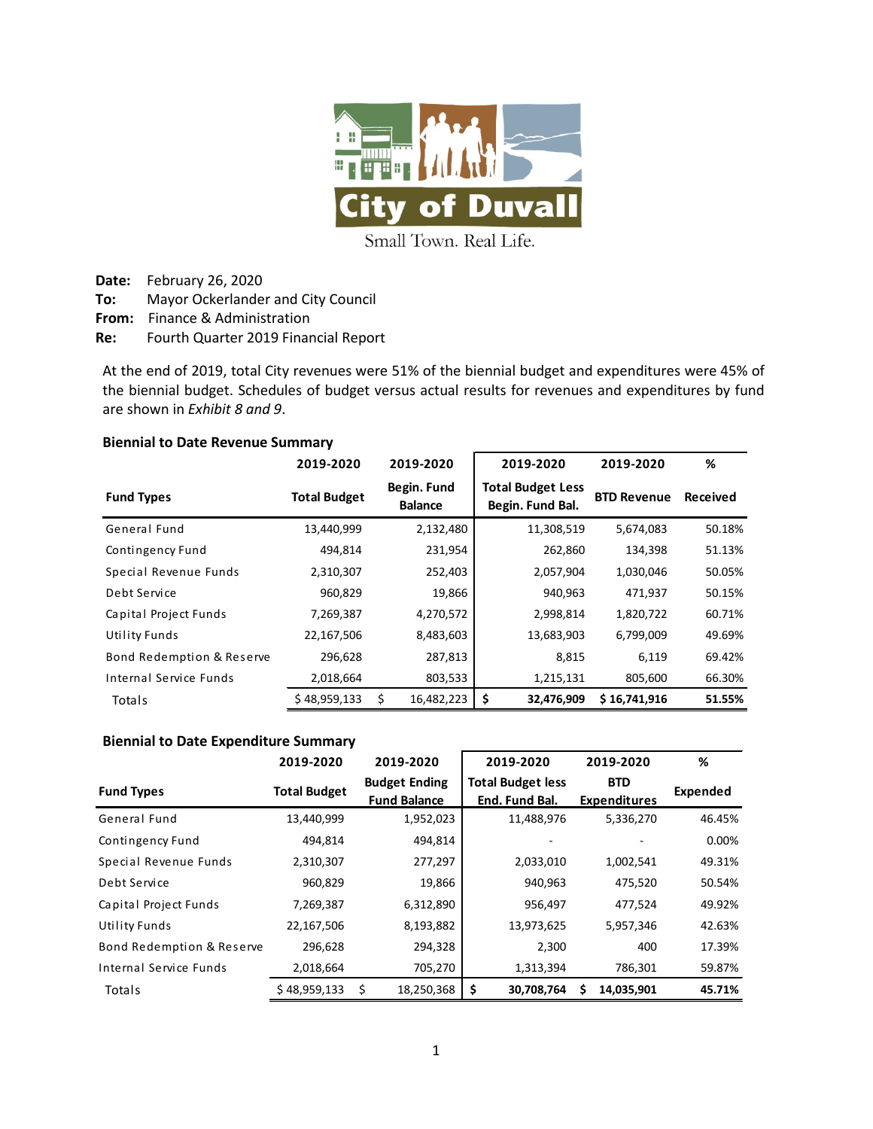

Small Town. Real Life.

**Date:** February 26, 2020

**To:** Mayor Ockerlander and City Council

**From:** Finance & Administration

**Re:** Fourth Quarter 2019 Financial Report

At the end of 2019, total City revenues were 51% of the biennial budget and expenditures were 45% of the biennial budget. Schedules of budget versus actual results for revenues and expenditures by fund are shown in *Exhibit 8 and 9*.

#### **Biennial to Date Revenue Summary**

|                           | 2019-2020           | 2019-2020                     | 2019-2020                                    | 2019-2020          | %        |
|---------------------------|---------------------|-------------------------------|----------------------------------------------|--------------------|----------|
| <b>Fund Types</b>         | <b>Total Budget</b> | Begin. Fund<br><b>Balance</b> | <b>Total Budget Less</b><br>Begin. Fund Bal. | <b>BTD Revenue</b> | Received |
| General Fund              | 13,440,999          | 2,132,480                     | 11,308,519                                   | 5,674,083          | 50.18%   |
| Contingency Fund          | 494,814             | 231,954                       | 262,860                                      | 134,398            | 51.13%   |
| Special Revenue Funds     | 2,310,307           | 252,403                       | 2,057,904                                    | 1,030,046          | 50.05%   |
| Debt Service              | 960,829             | 19,866                        | 940,963                                      | 471,937            | 50.15%   |
| Capital Project Funds     | 7,269,387           | 4,270,572                     | 2,998,814                                    | 1,820,722          | 60.71%   |
| Utility Funds             | 22,167,506          | 8,483,603                     | 13,683,903                                   | 6,799,009          | 49.69%   |
| Bond Redemption & Reserve | 296,628             | 287,813                       | 8,815                                        | 6,119              | 69.42%   |
| Internal Service Funds    | 2,018,664           | 803,533                       | 1,215,131                                    | 805,600            | 66.30%   |
| Totals                    | \$48,959,133        | \$<br>16,482,223              | \$<br>32,476,909                             | \$16,741,916       | 51.55%   |

#### **Biennial to Date Expenditure Summary**

|                           | 2019-2020           | 2019-2020                                   |            | 2019-2020                                  |   | 2019-2020                         | %        |
|---------------------------|---------------------|---------------------------------------------|------------|--------------------------------------------|---|-----------------------------------|----------|
| <b>Fund Types</b>         | <b>Total Budget</b> | <b>Budget Ending</b><br><b>Fund Balance</b> |            | <b>Total Budget less</b><br>End. Fund Bal. |   | <b>BTD</b><br><b>Expenditures</b> | Expended |
| General Fund              | 13,440,999          |                                             | 1,952,023  | 11,488,976                                 |   | 5,336,270                         | 46.45%   |
| Contingency Fund          | 494,814             |                                             | 494,814    |                                            |   |                                   | 0.00%    |
| Special Revenue Funds     | 2,310,307           |                                             | 277,297    | 2,033,010                                  |   | 1,002,541                         | 49.31%   |
| Debt Service              | 960,829             |                                             | 19,866     | 940,963                                    |   | 475,520                           | 50.54%   |
| Capital Project Funds     | 7,269,387           |                                             | 6,312,890  | 956,497                                    |   | 477,524                           | 49.92%   |
| Utility Funds             | 22,167,506          |                                             | 8,193,882  | 13,973,625                                 |   | 5,957,346                         | 42.63%   |
| Bond Redemption & Reserve | 296,628             |                                             | 294,328    | 2,300                                      |   | 400                               | 17.39%   |
| Internal Service Funds    | 2,018,664           |                                             | 705,270    | 1,313,394                                  |   | 786,301                           | 59.87%   |
| Totals                    | \$48,959,133        | Ś                                           | 18,250,368 | \$<br>30,708,764                           | S | 14,035,901                        | 45.71%   |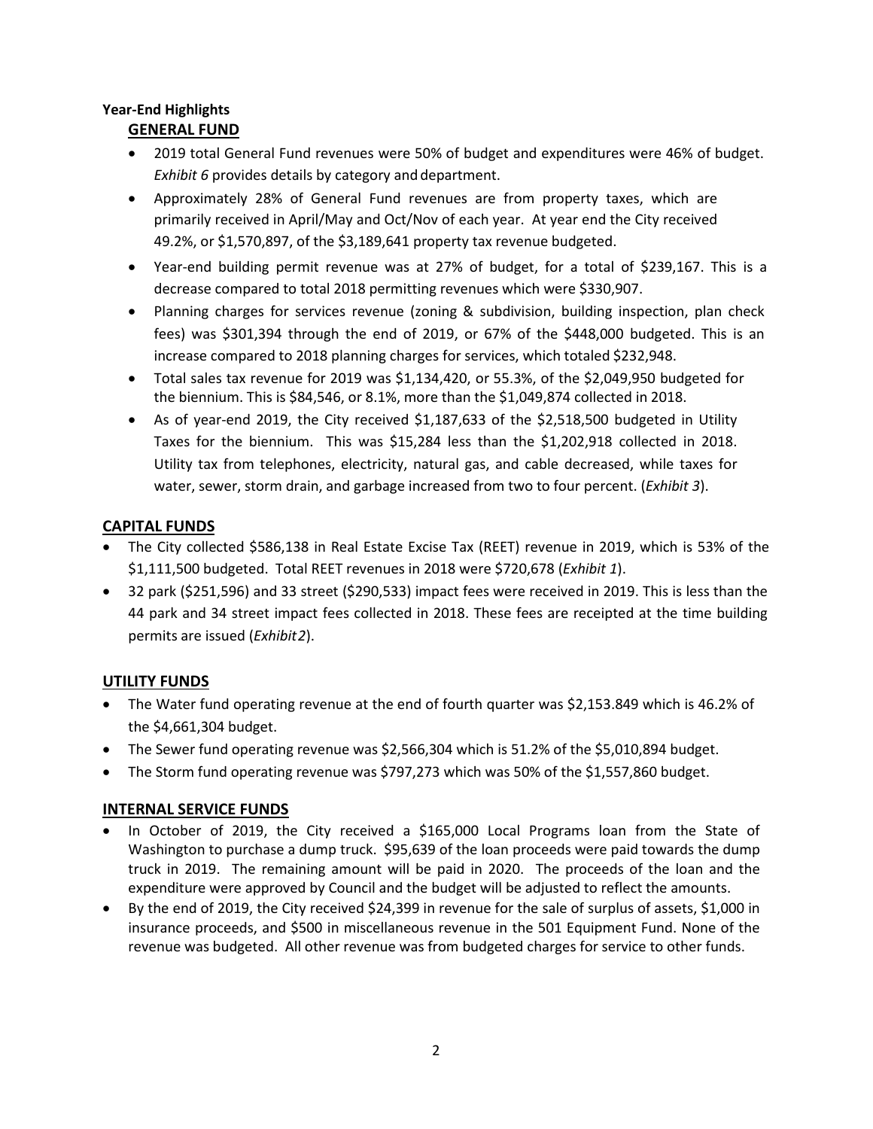## **Year-End Highlights GENERAL FUND**

- 2019 total General Fund revenues were 50% of budget and expenditures were 46% of budget. *Exhibit 6* provides details by category and department.
- Approximately 28% of General Fund revenues are from property taxes, which are primarily received in April/May and Oct/Nov of each year. At year end the City received 49.2%, or \$1,570,897, of the \$3,189,641 property tax revenue budgeted.
- Year-end building permit revenue was at 27% of budget, for a total of \$239,167. This is a decrease compared to total 2018 permitting revenues which were \$330,907.
- Planning charges for services revenue (zoning & subdivision, building inspection, plan check fees) was \$301,394 through the end of 2019, or 67% of the \$448,000 budgeted. This is an increase compared to 2018 planning charges for services, which totaled \$232,948.
- Total sales tax revenue for 2019 was \$1,134,420, or 55.3%, of the \$2,049,950 budgeted for the biennium. This is \$84,546, or 8.1%, more than the \$1,049,874 collected in 2018.
- As of year-end 2019, the City received \$1,187,633 of the \$2,518,500 budgeted in Utility Taxes for the biennium. This was \$15,284 less than the \$1,202,918 collected in 2018. Utility tax from telephones, electricity, natural gas, and cable decreased, while taxes for water, sewer, storm drain, and garbage increased from two to four percent. (*Exhibit 3*).

# **CAPITAL FUNDS**

- The City collected \$586,138 in Real Estate Excise Tax (REET) revenue in 2019, which is 53% of the \$1,111,500 budgeted. Total REET revenues in 2018 were \$720,678 (*Exhibit 1*).
- 32 park (\$251,596) and 33 street (\$290,533) impact fees were received in 2019. This is less than the 44 park and 34 street impact fees collected in 2018. These fees are receipted at the time building permits are issued (*Exhibit2*).

# **UTILITY FUNDS**

- The Water fund operating revenue at the end of fourth quarter was \$2,153.849 which is 46.2% of the \$4,661,304 budget.
- The Sewer fund operating revenue was \$2,566,304 which is 51.2% of the \$5,010,894 budget.
- The Storm fund operating revenue was \$797,273 which was 50% of the \$1,557,860 budget.

# **INTERNAL SERVICE FUNDS**

- In October of 2019, the City received a \$165,000 Local Programs loan from the State of Washington to purchase a dump truck. \$95,639 of the loan proceeds were paid towards the dump truck in 2019. The remaining amount will be paid in 2020. The proceeds of the loan and the expenditure were approved by Council and the budget will be adjusted to reflect the amounts.
- By the end of 2019, the City received \$24,399 in revenue for the sale of surplus of assets, \$1,000 in insurance proceeds, and \$500 in miscellaneous revenue in the 501 Equipment Fund. None of the revenue was budgeted. All other revenue was from budgeted charges for service to other funds.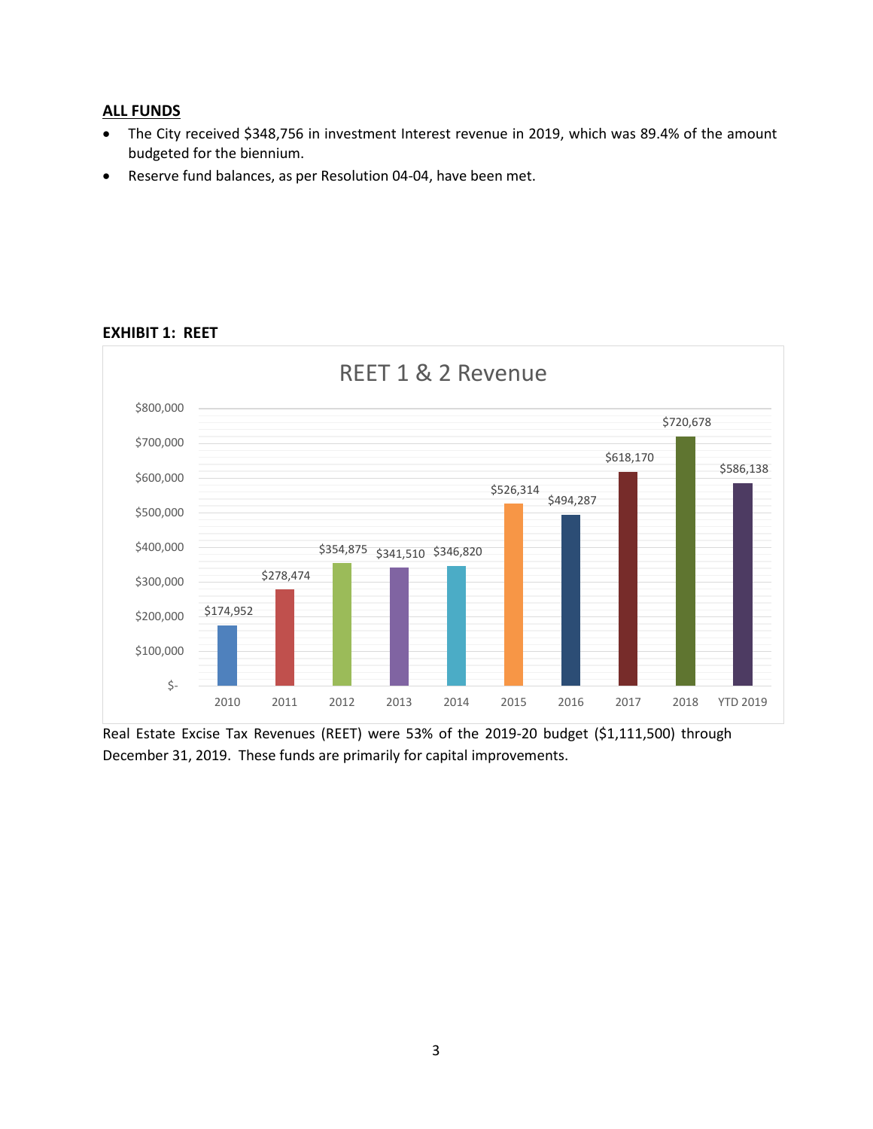#### **ALL FUNDS**

- The City received \$348,756 in investment Interest revenue in 2019, which was 89.4% of the amount budgeted for the biennium.
- Reserve fund balances, as per Resolution 04-04, have been met.



#### **EXHIBIT 1: REET**

Real Estate Excise Tax Revenues (REET) were 53% of the 2019-20 budget (\$1,111,500) through December 31, 2019. These funds are primarily for capital improvements.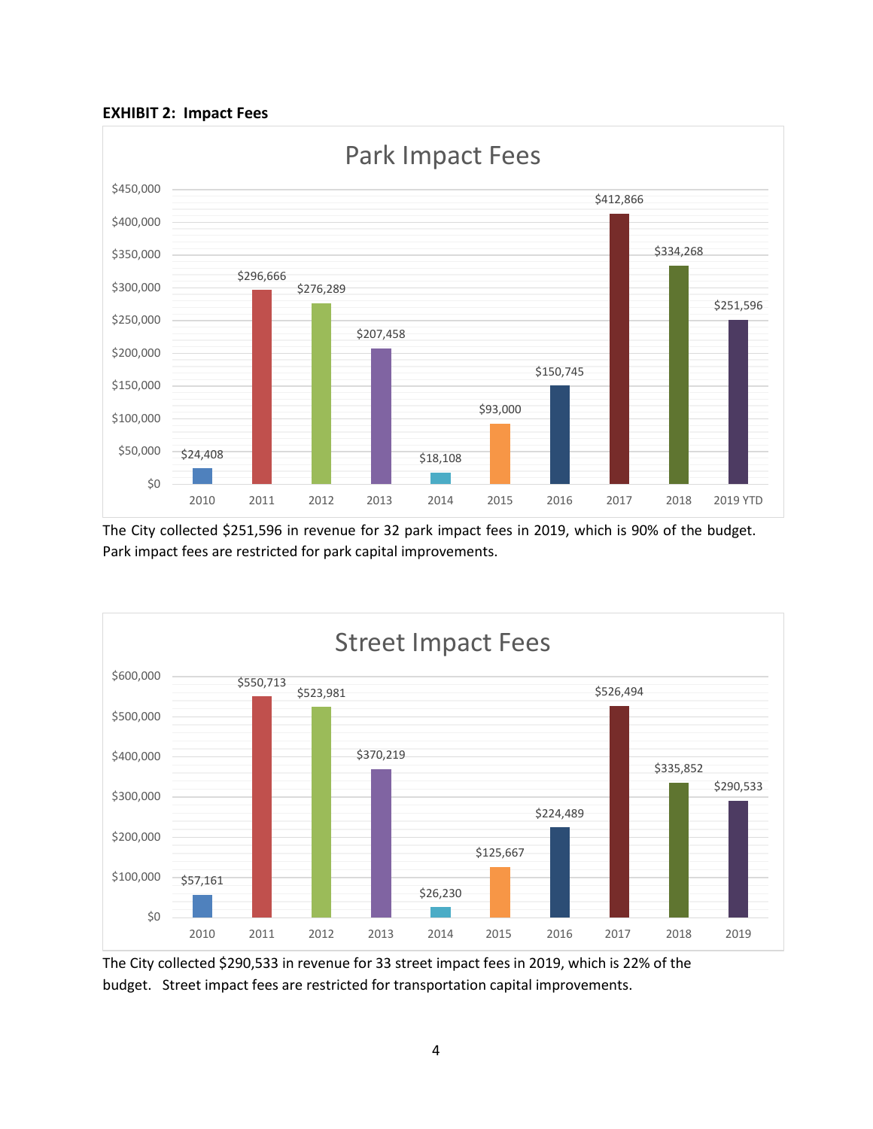



The City collected \$251,596 in revenue for 32 park impact fees in 2019, which is 90% of the budget. Park impact fees are restricted for park capital improvements.



The City collected \$290,533 in revenue for 33 street impact fees in 2019, which is 22% of the budget. Street impact fees are restricted for transportation capital improvements.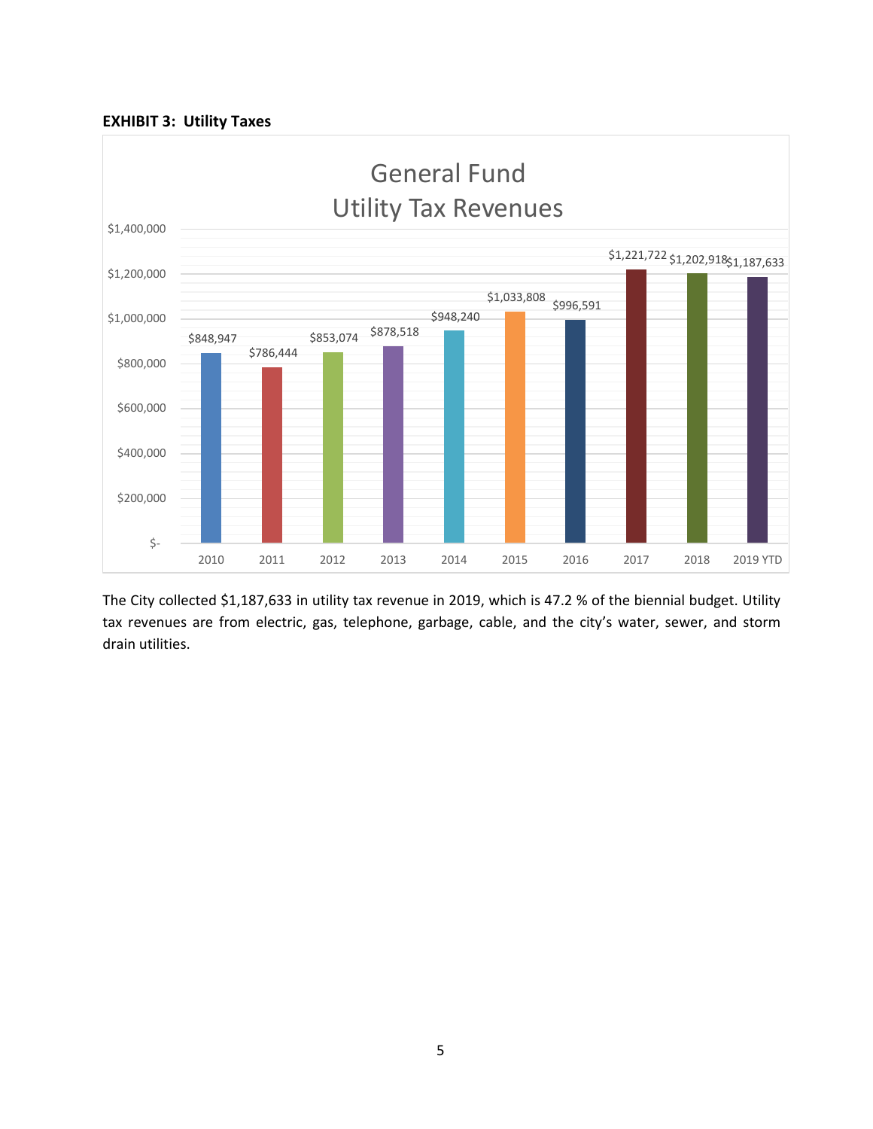



The City collected \$1,187,633 in utility tax revenue in 2019, which is 47.2 % of the biennial budget. Utility tax revenues are from electric, gas, telephone, garbage, cable, and the city's water, sewer, and storm drain utilities.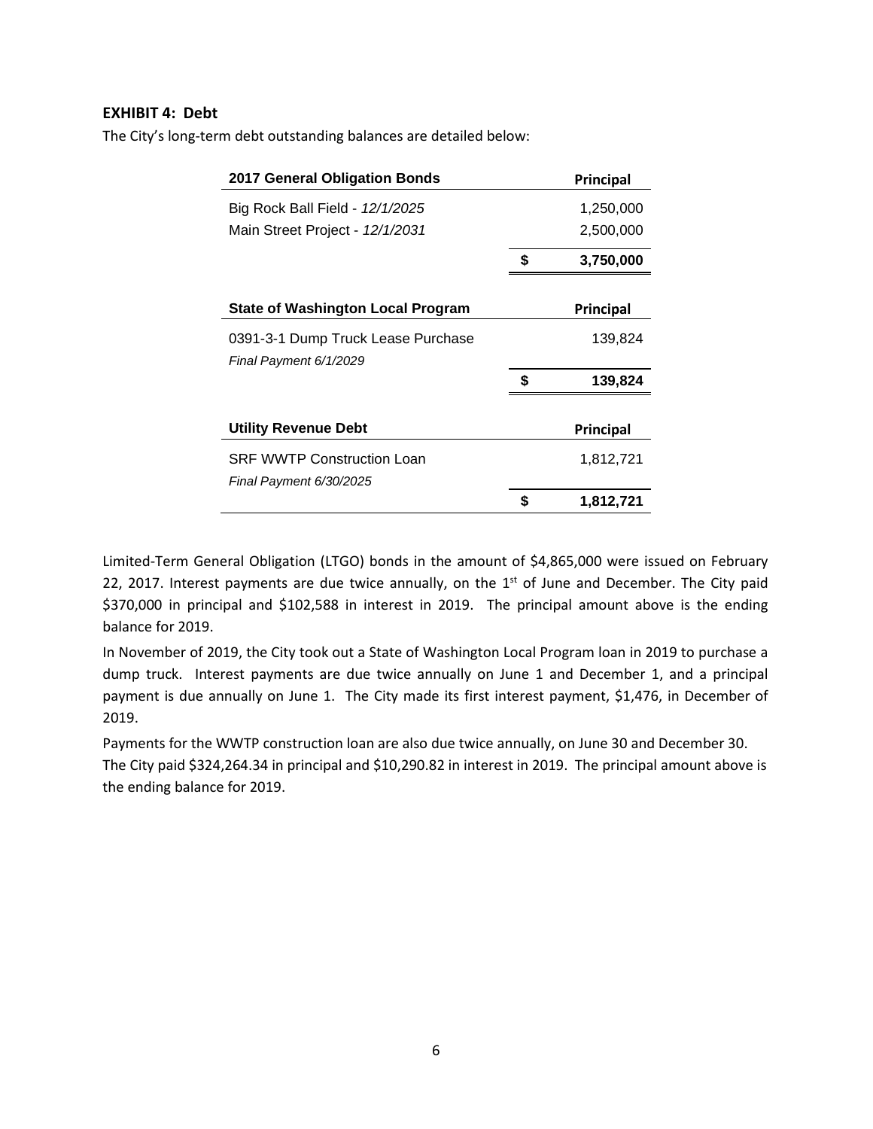#### **EXHIBIT 4: Debt**

The City's long-term debt outstanding balances are detailed below:

| <b>2017 General Obligation Bonds</b> |    | Principal |
|--------------------------------------|----|-----------|
| Big Rock Ball Field - 12/1/2025      |    | 1,250,000 |
| Main Street Project - 12/1/2031      |    | 2,500,000 |
|                                      | \$ | 3,750,000 |
|                                      |    |           |
| State of Washington Local Program    |    | Principal |
| 0391-3-1 Dump Truck Lease Purchase   |    | 139,824   |
| Final Payment 6/1/2029               |    |           |
|                                      | \$ | 139,824   |
|                                      |    |           |
| Utility Revenue Debt                 |    | Principal |
| <b>SRF WWTP Construction Loan</b>    |    | 1,812,721 |
| Final Payment 6/30/2025              |    |           |
|                                      | S  | 1,812,721 |

Limited-Term General Obligation (LTGO) bonds in the amount of \$4,865,000 were issued on February 22, 2017. Interest payments are due twice annually, on the  $1<sup>st</sup>$  of June and December. The City paid \$370,000 in principal and \$102,588 in interest in 2019. The principal amount above is the ending balance for 2019.

In November of 2019, the City took out a State of Washington Local Program loan in 2019 to purchase a dump truck. Interest payments are due twice annually on June 1 and December 1, and a principal payment is due annually on June 1. The City made its first interest payment, \$1,476, in December of 2019.

Payments for the WWTP construction loan are also due twice annually, on June 30 and December 30. The City paid \$324,264.34 in principal and \$10,290.82 in interest in 2019. The principal amount above is the ending balance for 2019.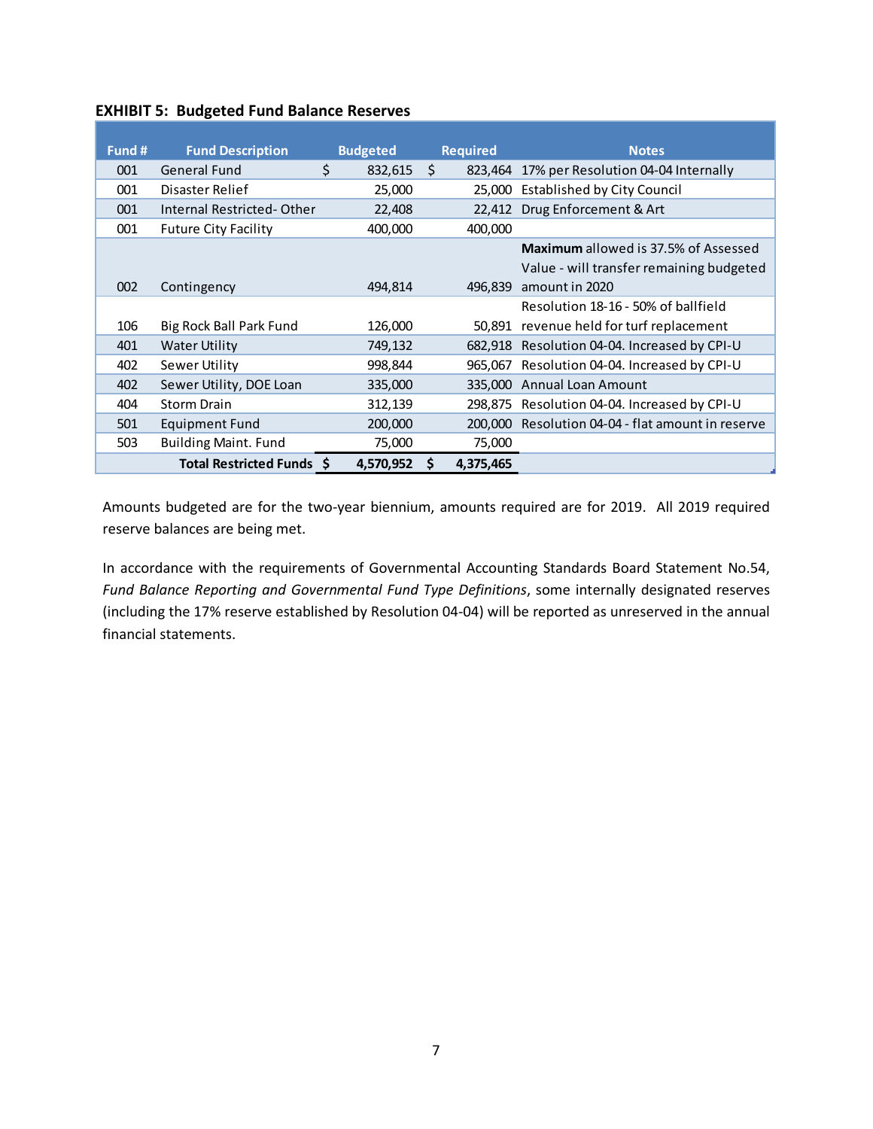### **EXHIBIT 5: Budgeted Fund Balance Reserves**

| Fund # | <b>Fund Description</b>     | <b>Budgeted</b> | <b>Required</b> | <b>Notes</b>                                      |
|--------|-----------------------------|-----------------|-----------------|---------------------------------------------------|
| 001    | <b>General Fund</b>         | \$<br>832,615   | Ŝ.              | 823,464 17% per Resolution 04-04 Internally       |
| 001    | Disaster Relief             | 25,000          |                 | 25,000 Established by City Council                |
| 001    | Internal Restricted-Other   | 22,408          |                 | 22,412 Drug Enforcement & Art                     |
| 001    | <b>Future City Facility</b> | 400,000         | 400,000         |                                                   |
|        |                             |                 |                 | Maximum allowed is 37.5% of Assessed              |
|        |                             |                 |                 | Value - will transfer remaining budgeted          |
| 002    | Contingency                 | 494,814         | 496.839         | amount in 2020                                    |
|        |                             |                 |                 | Resolution 18-16 - 50% of ballfield               |
| 106    | Big Rock Ball Park Fund     | 126,000         | 50,891          | revenue held for turf replacement                 |
| 401    | <b>Water Utility</b>        | 749,132         |                 | 682,918 Resolution 04-04. Increased by CPI-U      |
| 402    | <b>Sewer Utility</b>        | 998,844         |                 | 965,067 Resolution 04-04. Increased by CPI-U      |
| 402    | Sewer Utility, DOE Loan     | 335,000         |                 | 335,000 Annual Loan Amount                        |
| 404    | <b>Storm Drain</b>          | 312,139         |                 | 298,875 Resolution 04-04. Increased by CPI-U      |
| 501    | <b>Equipment Fund</b>       | 200,000         |                 | 200,000 Resolution 04-04 - flat amount in reserve |
| 503    | <b>Building Maint. Fund</b> | 75,000          | 75,000          |                                                   |
|        | Total Restricted Funds \$   | 4,570,952       | 4,375,465<br>S  |                                                   |

Amounts budgeted are for the two-year biennium, amounts required are for 2019. All 2019 required reserve balances are being met.

In accordance with the requirements of Governmental Accounting Standards Board Statement No.54, *Fund Balance Reporting and Governmental Fund Type Definitions*, some internally designated reserves (including the 17% reserve established by Resolution 04-04) will be reported as unreserved in the annual financial statements.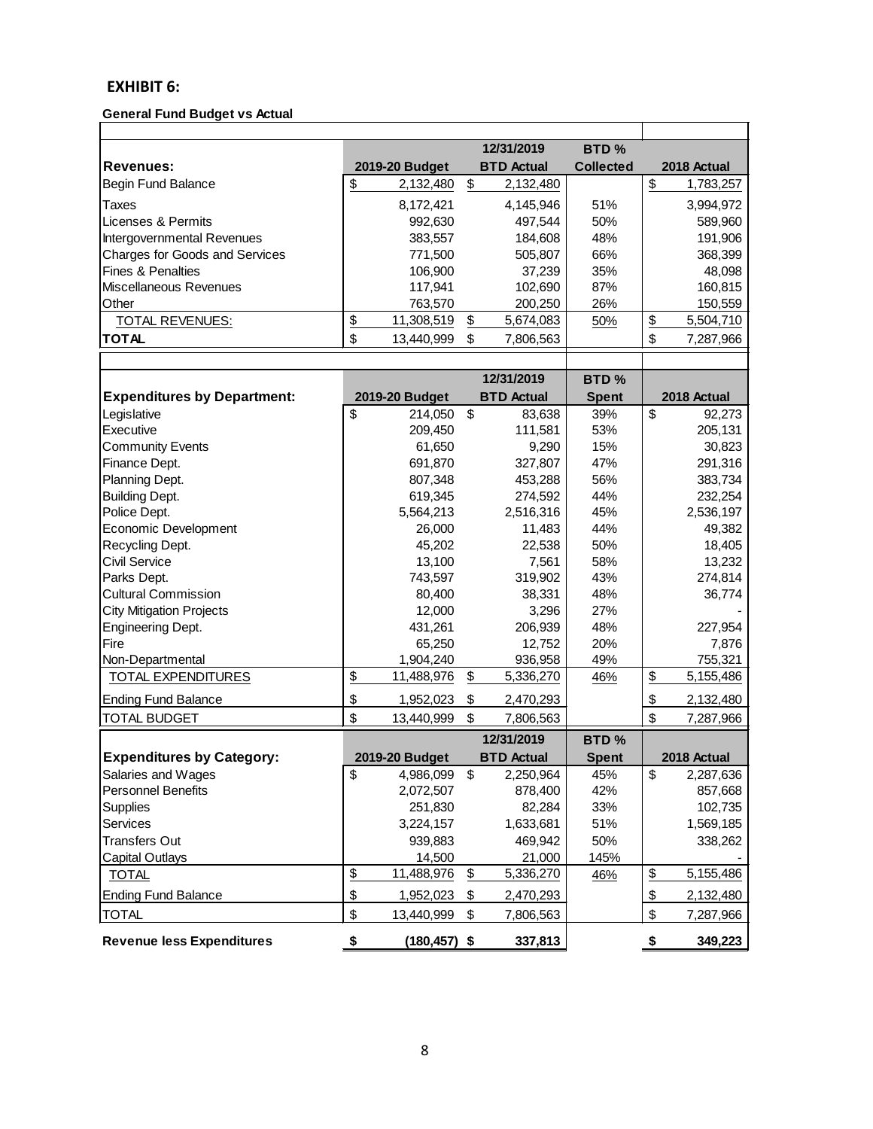## **EXHIBIT 6:**

#### **General Fund Budget vs Actual**

|                                       |                  |    | 12/31/2019        | BTD <sub>%</sub> |                 |
|---------------------------------------|------------------|----|-------------------|------------------|-----------------|
| <b>Revenues:</b>                      | 2019-20 Budget   |    | <b>BTD Actual</b> | <b>Collected</b> | 2018 Actual     |
| <b>Begin Fund Balance</b>             | \$<br>2,132,480  | \$ | 2,132,480         |                  | \$<br>1,783,257 |
| Taxes                                 | 8,172,421        |    | 4,145,946         | 51%              | 3,994,972       |
| Licenses & Permits                    | 992,630          |    | 497,544           | 50%              | 589,960         |
| Intergovernmental Revenues            | 383,557          |    | 184.608           | 48%              | 191,906         |
| <b>Charges for Goods and Services</b> | 771.500          |    | 505,807           | 66%              | 368,399         |
| <b>Fines &amp; Penalties</b>          | 106.900          |    | 37.239            | 35%              | 48.098          |
| Miscellaneous Revenues                | 117,941          |    | 102,690           | 87%              | 160,815         |
| Other                                 | 763.570          |    | 200.250           | 26%              | 150,559         |
| <b>TOTAL REVENUES:</b>                | \$<br>11,308,519 | \$ | 5,674,083         | 50%              | \$<br>5,504,710 |
| <b>TOTAL</b>                          | \$<br>13,440,999 | S  | 7.806.563         |                  | \$<br>7,287,966 |
|                                       |                  |    |                   |                  |                 |

|                                    |                  | 12/31/2019        | BTD <sub>%</sub> |                 |
|------------------------------------|------------------|-------------------|------------------|-----------------|
| <b>Expenditures by Department:</b> | 2019-20 Budget   | <b>BTD Actual</b> | <b>Spent</b>     | 2018 Actual     |
| Legislative                        | \$<br>214,050    | \$<br>83,638      | 39%              | \$<br>92,273    |
| Executive                          | 209,450          | 111,581           | 53%              | 205,131         |
| <b>Community Events</b>            | 61,650           | 9,290             | 15%              | 30,823          |
| Finance Dept.                      | 691,870          | 327,807           | 47%              | 291,316         |
| Planning Dept.                     | 807,348          | 453,288           | 56%              | 383,734         |
| <b>Building Dept.</b>              | 619,345          | 274,592           | 44%              | 232,254         |
| Police Dept.                       | 5,564,213        | 2,516,316         | 45%              | 2,536,197       |
| Economic Development               | 26,000           | 11,483            | 44%              | 49,382          |
| Recycling Dept.                    | 45,202           | 22,538            | 50%              | 18,405          |
| Civil Service                      | 13,100           | 7,561             | 58%              | 13,232          |
| Parks Dept.                        | 743,597          | 319,902           | 43%              | 274,814         |
| <b>Cultural Commission</b>         | 80,400           | 38,331            | 48%              | 36,774          |
| <b>City Mitigation Projects</b>    | 12,000           | 3,296             | 27%              |                 |
| Engineering Dept.                  | 431,261          | 206,939           | 48%              | 227,954         |
| Fire                               | 65,250           | 12,752            | 20%              | 7,876           |
| Non-Departmental                   | 1,904,240        | 936,958           | 49%              | 755,321         |
| <b>TOTAL EXPENDITURES</b>          | \$<br>11,488,976 | \$<br>5,336,270   | 46%              | \$<br>5,155,486 |
| <b>Ending Fund Balance</b>         | \$<br>1,952,023  | \$<br>2,470,293   |                  | \$<br>2,132,480 |
| <b>TOTAL BUDGET</b>                | \$<br>13,440,999 | \$<br>7,806,563   |                  | \$<br>7,287,966 |
|                                    |                  | 1712112010        | DTD <sup>a</sup> |                 |

|                                  |                  |     | 12/31/2019        | BTD <sub>%</sub> |                 |
|----------------------------------|------------------|-----|-------------------|------------------|-----------------|
| <b>Expenditures by Category:</b> | 2019-20 Budget   |     | <b>BTD Actual</b> | <b>Spent</b>     | 2018 Actual     |
| Salaries and Wages               | \$<br>4,986,099  | \$  | 2,250,964         | 45%              | \$<br>2,287,636 |
| <b>Personnel Benefits</b>        | 2,072,507        |     | 878,400           | 42%              | 857,668         |
| <b>Supplies</b>                  | 251,830          |     | 82,284            | 33%              | 102,735         |
| <b>Services</b>                  | 3,224,157        |     | 1,633,681         | 51%              | 1,569,185       |
| <b>Transfers Out</b>             | 939,883          |     | 469.942           | 50%              | 338,262         |
| <b>Capital Outlays</b>           | 14,500           |     | 21,000            | 145%             |                 |
| <b>TOTAL</b>                     | \$<br>11,488,976 | \$  | 5,336,270         | 46%              | \$<br>5,155,486 |
| <b>Ending Fund Balance</b>       | \$<br>1,952,023  | \$  | 2,470,293         |                  | \$<br>2,132,480 |
| <b>TOTAL</b>                     | \$<br>13,440,999 | \$. | 7,806,563         |                  | \$<br>7,287,966 |
| <b>Revenue less Expenditures</b> | (180,457) \$     |     | 337,813           |                  | \$<br>349,223   |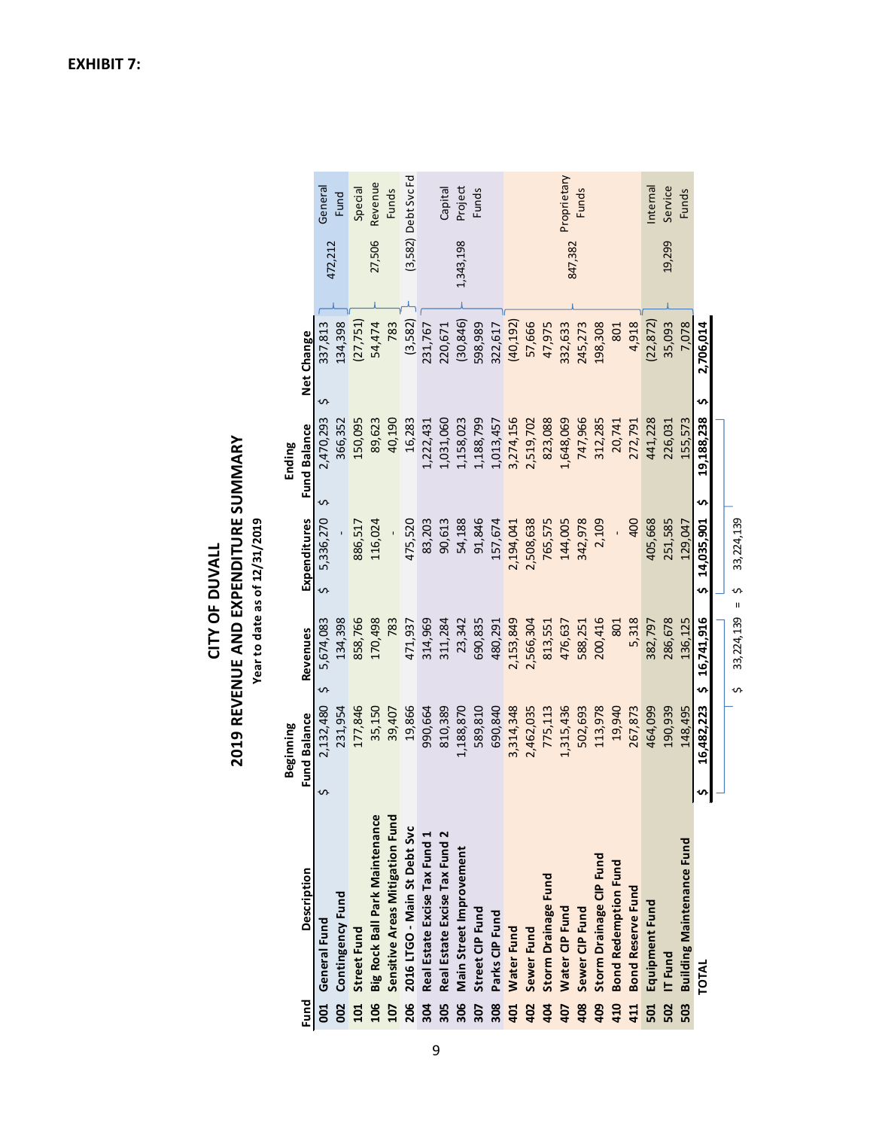|            |                                  |   | Beginning    |                                 |                            | Ending              |                |           |                       |
|------------|----------------------------------|---|--------------|---------------------------------|----------------------------|---------------------|----------------|-----------|-----------------------|
| Fund       | Description                      |   | Fund Balance | Revenues                        | Expenditures               | <b>Fund Balance</b> | Net Change     |           |                       |
| <b>SO</b>  | General Fund                     | n | 2,132,480    | 5,674,083<br>S                  | 5,336,270<br>$\mathfrak o$ | 2,470,293<br>S      | 337,813<br>S   | 472,212   | General               |
| 002<br>002 | Contingency Fund                 |   | 231,954      | 134,398                         |                            | 366,352             | 134,398        |           | Fund                  |
| 101        | <b>Street Fund</b>               |   | 177,846      | 858,766                         | 886,517                    | 150,095             | (27, 751)      |           | Special               |
| 106        | Big Rock Ball Park Maintenance   |   | 35,150       | 170,498                         | 116,024                    | 89,623              | 54,474         | 27,506    | Revenue               |
| 107        | Sensitive Areas Mitigation Fund  |   | 39,407       | 783                             |                            | 40,190              | 783            |           | Funds                 |
| 206        | 2016 LTGO - Main St Debt Svc     |   | 19,866       | 471,937                         | 475,520                    | 16,283              | (3,582)        |           | $(3,582)$ Debt Svc Fd |
| 304        | Real Estate Excise Tax Fund 1    |   | 990,664      | 314,969                         | 83,203                     | 1,222,431           | 231,767        |           |                       |
| 305        | Real Estate Excise Tax Fund 2    |   | 810,389      | 311,284                         | 90,613                     | 1,031,060           | 220,671        |           | Capital               |
| 306        | Main Street Improvement          |   | 1,188,870    | 23,342                          | 54,188                     | 1,158,023           | (30, 846)      | 1,343,198 | Project               |
| 307        | Street CIP Fund                  |   | 589,810      | 690,835                         | 91,846                     | 1,188,799           | 598,989        |           | <b>Funds</b>          |
| 308        | Parks CIP Fund                   |   | 690,840      | 480,291                         | 157,674                    | 1,013,457           | 322,617        |           |                       |
| 401        | Water Fund                       |   | 3,314,348    | 2,153,849                       | 2,194,041                  | 3,274,156           | (40, 192)      |           |                       |
| 402        | Sewer Fund                       |   | 2,462,035    | 2,566,304                       | 2,508,638                  | 2,519,702           | 57,666         |           |                       |
| 404        | Storm Drainage Fund              |   | 775,113      | 813,551                         | 765,575                    | 823,088             | 47,975         |           |                       |
| 407        | Water CIP Fund                   |   | 1,315,436    | 476,637                         | 144,005                    | 1,648,069           | 332,633        | 847,382   | Proprietary           |
| 408        | Sewer CIP Fund                   |   | 502,693      | 588,251                         | 342,978                    | 747,966             | 245,273        |           | Funds                 |
| 409        | Storm Drainage CIP Fund          |   | 113,978      | 200,416                         | 2,109                      | 312,285             | 198,308        |           |                       |
| 410        | <b>Bond Redemption Fund</b>      |   | 19,940       | 801                             |                            | 20,741              | 801            |           |                       |
| 411        | <b>Bond Reserve Fund</b>         |   | 267,873      | 5,318                           | 400                        | 272,791             | 4,918          |           |                       |
| 501        | Equipment Fund                   |   | 464,099      | 382,797                         | 405,668                    | 441,228             | (22, 872)      |           | Internal              |
| 502        | IT Fund                          |   | 190,939      | 286,678                         | 251,585                    | 226,031             | 35,093         | 19,299    | Service               |
| 503        | <b>Building Maintenance Fund</b> |   | 148,495      | 136.125                         | 129.047                    | 155.573             | 7,078          |           | <b>Funds</b>          |
|            | <b>TOTAL</b>                     | n | 16,482,223   | 16,741,916<br>S                 | 14,035,901<br>S,           | 19,188,238<br>n,    | 2,706,014<br>s |           |                       |
|            |                                  |   |              |                                 |                            |                     |                |           |                       |
|            |                                  |   |              | $\mathbf{u}$<br>33,224,139<br>S | 33, 224, 139<br>s          |                     |                |           |                       |

2019 REVENUE AND EXPENDITURE SUMMARY **2019 REVENUE AND EXPENDITURE SUMMARY** Year to date as of 12/31/2019 **Year to date as of 12/31/2019** CITY OF DUVALL **CITY OF DUVALL**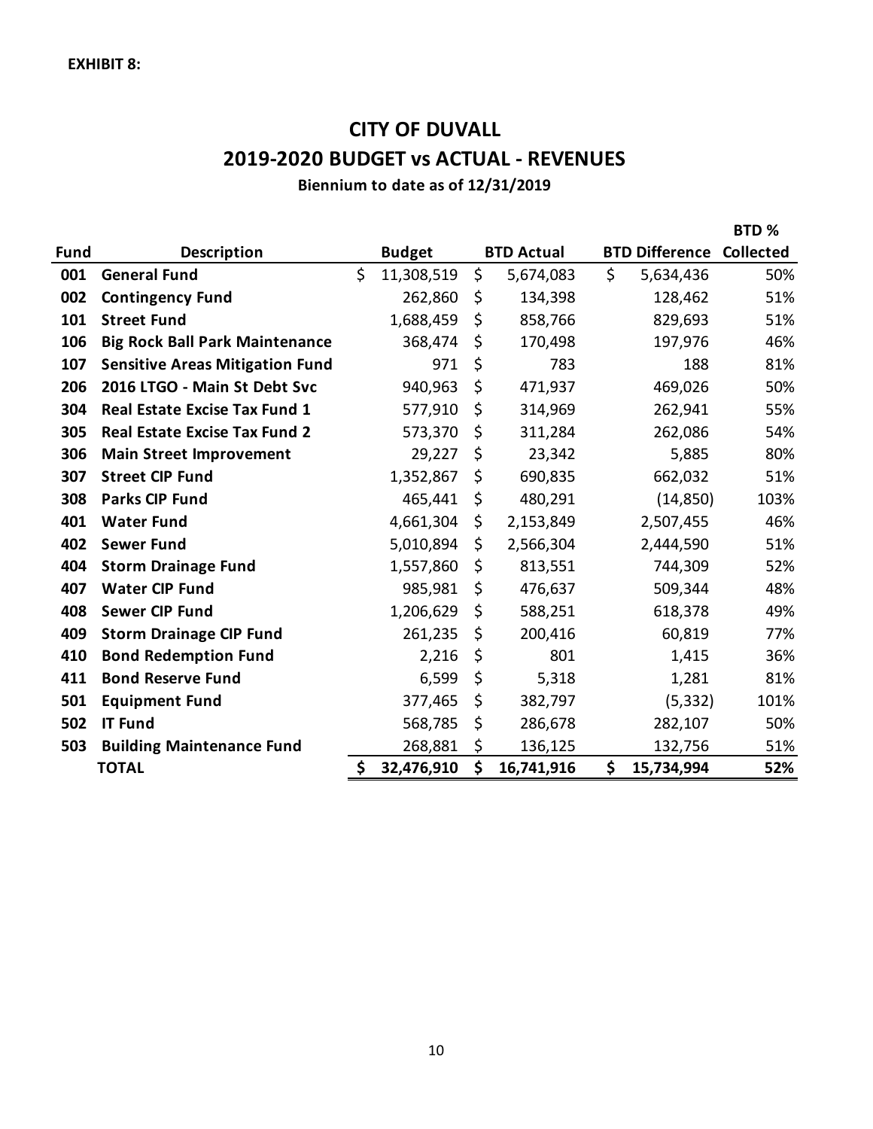# **CITY OF DUVALL 2019-2020 BUDGET vs ACTUAL - REVENUES**

**Biennium to date as of 12/31/2019**

|             |                                        |                  |                   |                       | BTD%             |
|-------------|----------------------------------------|------------------|-------------------|-----------------------|------------------|
| <b>Fund</b> | <b>Description</b>                     | <b>Budget</b>    | <b>BTD Actual</b> | <b>BTD Difference</b> | <b>Collected</b> |
| 001         | <b>General Fund</b>                    | \$<br>11,308,519 | \$<br>5,674,083   | \$<br>5,634,436       | 50%              |
| 002         | <b>Contingency Fund</b>                | 262,860          | \$<br>134,398     | 128,462               | 51%              |
| 101         | <b>Street Fund</b>                     | 1,688,459        | \$<br>858,766     | 829,693               | 51%              |
| 106         | <b>Big Rock Ball Park Maintenance</b>  | 368,474          | \$<br>170,498     | 197,976               | 46%              |
| 107         | <b>Sensitive Areas Mitigation Fund</b> | 971              | \$<br>783         | 188                   | 81%              |
| 206         | 2016 LTGO - Main St Debt Svc           | 940,963          | \$<br>471,937     | 469,026               | 50%              |
| 304         | <b>Real Estate Excise Tax Fund 1</b>   | 577,910          | \$<br>314,969     | 262,941               | 55%              |
| 305         | <b>Real Estate Excise Tax Fund 2</b>   | 573,370          | \$<br>311,284     | 262,086               | 54%              |
| 306         | <b>Main Street Improvement</b>         | 29,227           | \$<br>23,342      | 5,885                 | 80%              |
| 307         | <b>Street CIP Fund</b>                 | 1,352,867        | \$<br>690,835     | 662,032               | 51%              |
| 308         | <b>Parks CIP Fund</b>                  | 465,441          | \$<br>480,291     | (14, 850)             | 103%             |
| 401         | <b>Water Fund</b>                      | 4,661,304        | \$<br>2,153,849   | 2,507,455             | 46%              |
| 402         | <b>Sewer Fund</b>                      | 5,010,894        | \$<br>2,566,304   | 2,444,590             | 51%              |
| 404         | <b>Storm Drainage Fund</b>             | 1,557,860        | \$<br>813,551     | 744,309               | 52%              |
| 407         | <b>Water CIP Fund</b>                  | 985,981          | \$<br>476,637     | 509,344               | 48%              |
| 408         | <b>Sewer CIP Fund</b>                  | 1,206,629        | \$<br>588,251     | 618,378               | 49%              |
| 409         | <b>Storm Drainage CIP Fund</b>         | 261,235          | \$<br>200,416     | 60,819                | 77%              |
| 410         | <b>Bond Redemption Fund</b>            | 2,216            | \$<br>801         | 1,415                 | 36%              |
| 411         | <b>Bond Reserve Fund</b>               | 6,599            | \$<br>5,318       | 1,281                 | 81%              |
| 501         | <b>Equipment Fund</b>                  | 377,465          | \$<br>382,797     | (5, 332)              | 101%             |
| 502         | <b>IT Fund</b>                         | 568,785          | \$<br>286,678     | 282,107               | 50%              |
| 503         | <b>Building Maintenance Fund</b>       | 268,881          | \$<br>136,125     | 132,756               | 51%              |
|             | <b>TOTAL</b>                           | \$<br>32,476,910 | \$<br>16,741,916  | \$<br>15,734,994      | 52%              |

10